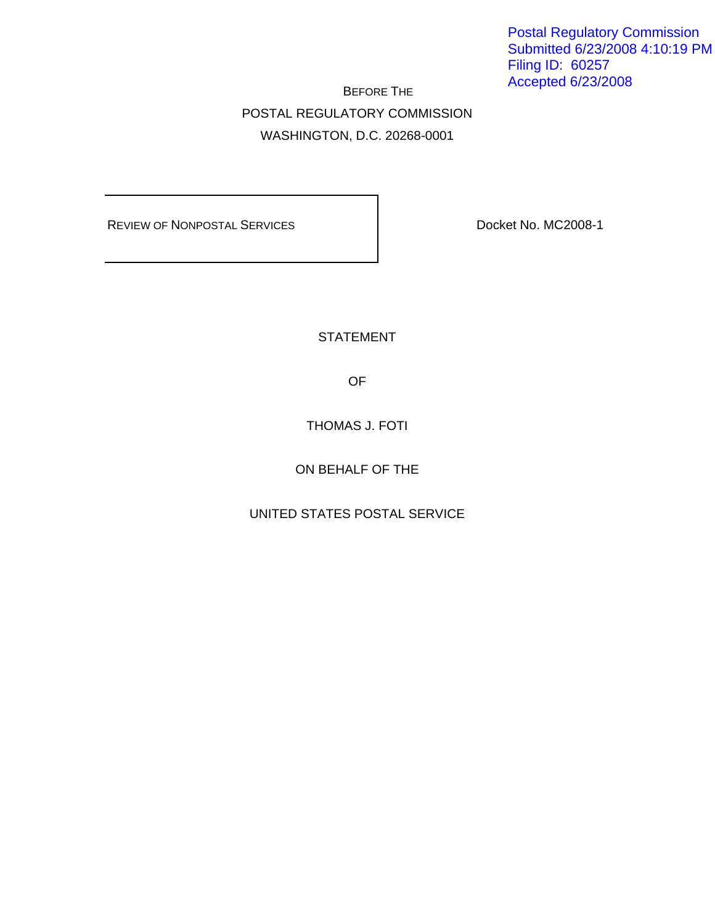Postal Regulatory Commission Submitted 6/23/2008 4:10:19 PM Filing ID: 60257 Accepted 6/23/2008

 BEFORE THE POSTAL REGULATORY COMMISSION WASHINGTON, D.C. 20268-0001

REVIEW OF NONPOSTAL SERVICES **DOCKET NO. MC2008-1** 

STATEMENT

OF

THOMAS J. FOTI

ON BEHALF OF THE

UNITED STATES POSTAL SERVICE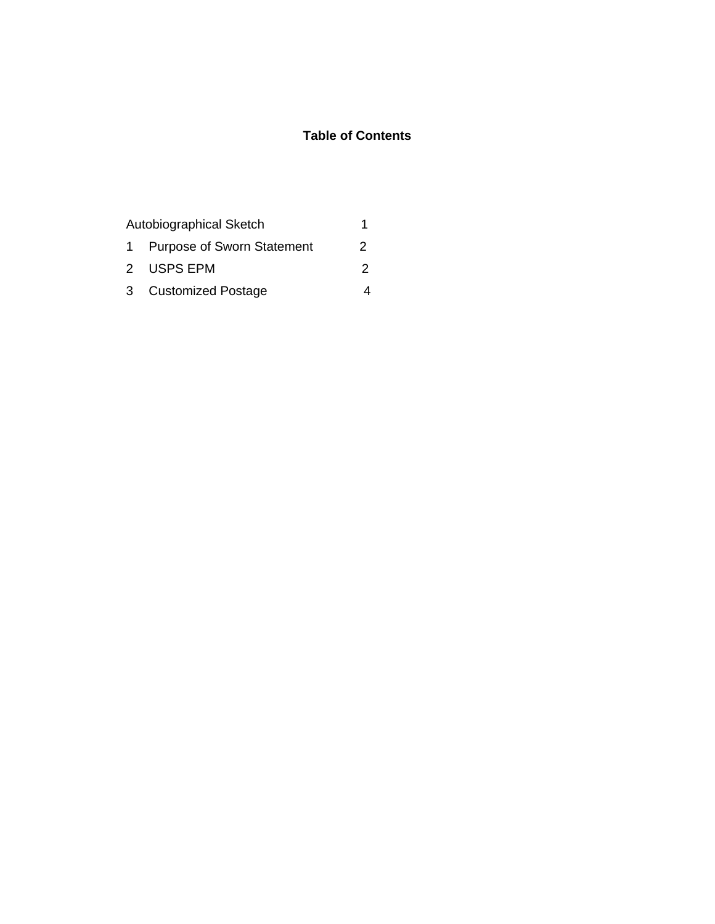## **Table of Contents**

| Autobiographical Sketch |                              |   |
|-------------------------|------------------------------|---|
|                         | 1 Purpose of Sworn Statement | 2 |
|                         | 2 USPS EPM                   | 2 |
|                         | 3 Customized Postage         |   |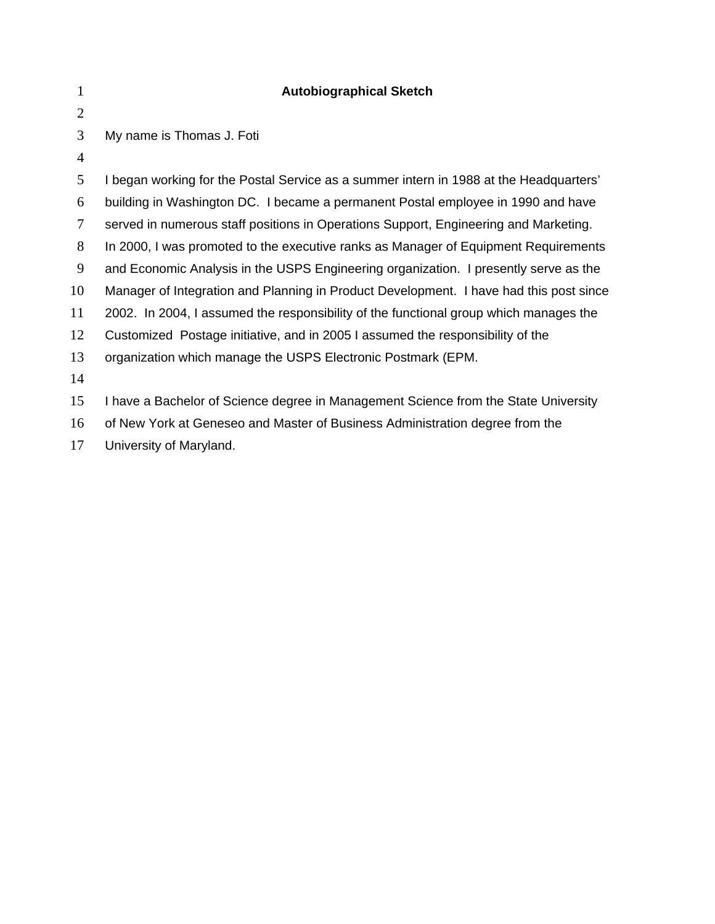| 1              | <b>Autobiographical Sketch</b>                                                         |
|----------------|----------------------------------------------------------------------------------------|
| $\overline{2}$ |                                                                                        |
| 3              | My name is Thomas J. Foti                                                              |
| 4              |                                                                                        |
| 5              | I began working for the Postal Service as a summer intern in 1988 at the Headquarters' |
| 6              | building in Washington DC. I became a permanent Postal employee in 1990 and have       |
| 7              | served in numerous staff positions in Operations Support, Engineering and Marketing.   |
| 8              | In 2000, I was promoted to the executive ranks as Manager of Equipment Requirements    |
| 9              | and Economic Analysis in the USPS Engineering organization. I presently serve as the   |
| 10             | Manager of Integration and Planning in Product Development. I have had this post since |
| 11             | 2002. In 2004, I assumed the responsibility of the functional group which manages the  |
| 12             | Customized Postage initiative, and in 2005 I assumed the responsibility of the         |
| 13             | organization which manage the USPS Electronic Postmark (EPM.                           |
| 14             |                                                                                        |
| 15             | I have a Bachelor of Science degree in Management Science from the State University    |
| 16             | of New York at Geneseo and Master of Business Administration degree from the           |
| 17             | University of Maryland.                                                                |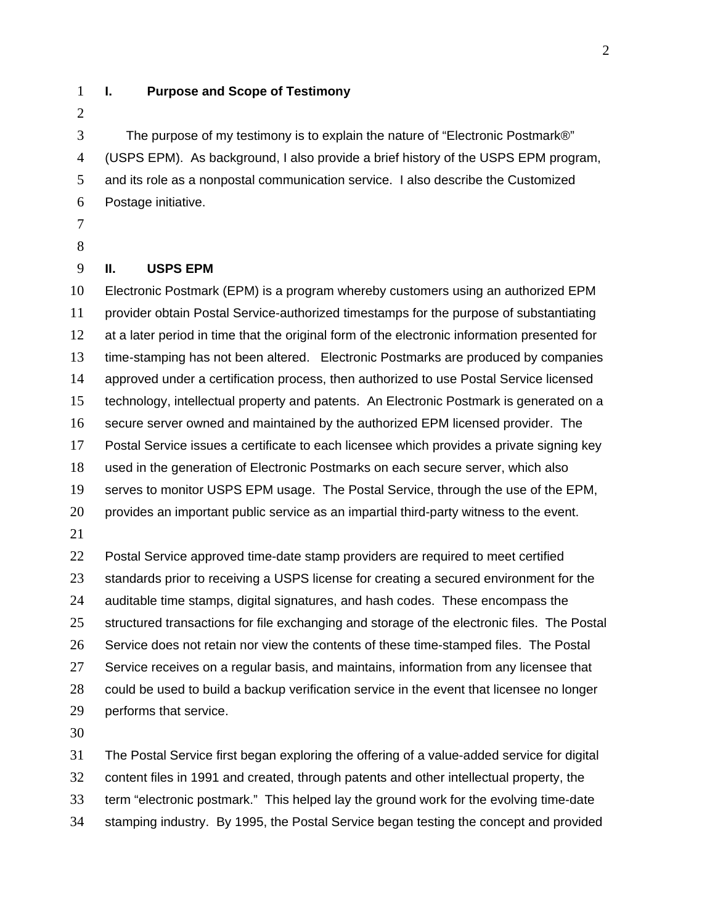#### **I. Purpose and Scope of Testimony**

The purpose of my testimony is to explain the nature of "Electronic Postmark®" (USPS EPM). As background, I also provide a brief history of the USPS EPM program, and its role as a nonpostal communication service. I also describe the Customized Postage initiative.

#### 

#### **II. USPS EPM**

Electronic Postmark (EPM) is a program whereby customers using an authorized EPM provider obtain Postal Service-authorized timestamps for the purpose of substantiating 12 at a later period in time that the original form of the electronic information presented for time-stamping has not been altered. Electronic Postmarks are produced by companies approved under a certification process, then authorized to use Postal Service licensed technology, intellectual property and patents. An Electronic Postmark is generated on a secure server owned and maintained by the authorized EPM licensed provider. The Postal Service issues a certificate to each licensee which provides a private signing key used in the generation of Electronic Postmarks on each secure server, which also serves to monitor USPS EPM usage. The Postal Service, through the use of the EPM, provides an important public service as an impartial third-party witness to the event. Postal Service approved time-date stamp providers are required to meet certified 23 standards prior to receiving a USPS license for creating a secured environment for the auditable time stamps, digital signatures, and hash codes. These encompass the 25 structured transactions for file exchanging and storage of the electronic files. The Postal Service does not retain nor view the contents of these time-stamped files. The Postal

Service receives on a regular basis, and maintains, information from any licensee that could be used to build a backup verification service in the event that licensee no longer

performs that service.

The Postal Service first began exploring the offering of a value-added service for digital content files in 1991 and created, through patents and other intellectual property, the term "electronic postmark." This helped lay the ground work for the evolving time-date stamping industry. By 1995, the Postal Service began testing the concept and provided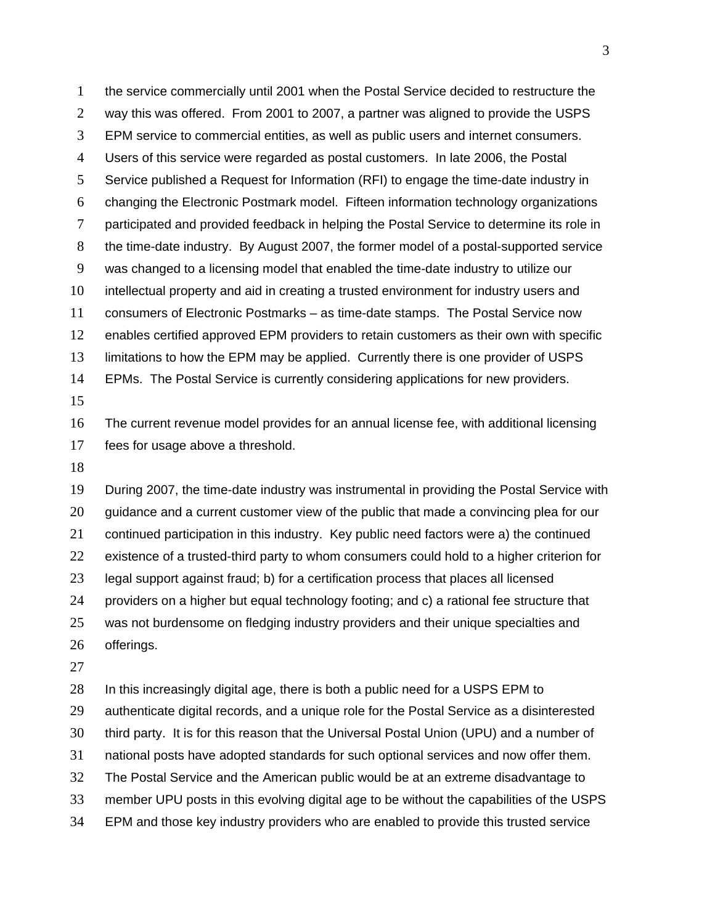the service commercially until 2001 when the Postal Service decided to restructure the way this was offered. From 2001 to 2007, a partner was aligned to provide the USPS EPM service to commercial entities, as well as public users and internet consumers. Users of this service were regarded as postal customers. In late 2006, the Postal Service published a Request for Information (RFI) to engage the time-date industry in changing the Electronic Postmark model. Fifteen information technology organizations participated and provided feedback in helping the Postal Service to determine its role in the time-date industry. By August 2007, the former model of a postal-supported service was changed to a licensing model that enabled the time-date industry to utilize our intellectual property and aid in creating a trusted environment for industry users and consumers of Electronic Postmarks – as time-date stamps. The Postal Service now enables certified approved EPM providers to retain customers as their own with specific limitations to how the EPM may be applied. Currently there is one provider of USPS EPMs. The Postal Service is currently considering applications for new providers. The current revenue model provides for an annual license fee, with additional licensing fees for usage above a threshold.

During 2007, the time-date industry was instrumental in providing the Postal Service with guidance and a current customer view of the public that made a convincing plea for our continued participation in this industry. Key public need factors were a) the continued existence of a trusted-third party to whom consumers could hold to a higher criterion for legal support against fraud; b) for a certification process that places all licensed providers on a higher but equal technology footing; and c) a rational fee structure that was not burdensome on fledging industry providers and their unique specialties and offerings.

In this increasingly digital age, there is both a public need for a USPS EPM to authenticate digital records, and a unique role for the Postal Service as a disinterested third party. It is for this reason that the Universal Postal Union (UPU) and a number of national posts have adopted standards for such optional services and now offer them. The Postal Service and the American public would be at an extreme disadvantage to member UPU posts in this evolving digital age to be without the capabilities of the USPS EPM and those key industry providers who are enabled to provide this trusted service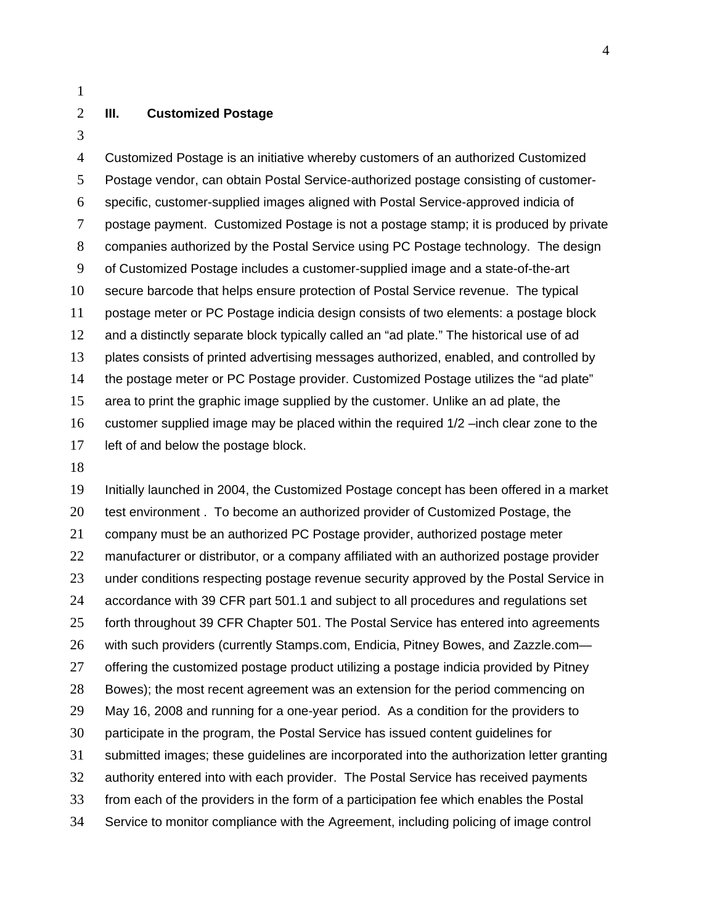### **III. Customized Postage**

Customized Postage is an initiative whereby customers of an authorized Customized Postage vendor, can obtain Postal Service-authorized postage consisting of customer-specific, customer-supplied images aligned with Postal Service-approved indicia of postage payment. Customized Postage is not a postage stamp; it is produced by private companies authorized by the Postal Service using PC Postage technology. The design of Customized Postage includes a customer-supplied image and a state-of-the-art secure barcode that helps ensure protection of Postal Service revenue. The typical postage meter or PC Postage indicia design consists of two elements: a postage block and a distinctly separate block typically called an "ad plate." The historical use of ad plates consists of printed advertising messages authorized, enabled, and controlled by the postage meter or PC Postage provider. Customized Postage utilizes the "ad plate" area to print the graphic image supplied by the customer. Unlike an ad plate, the customer supplied image may be placed within the required 1/2 –inch clear zone to the left of and below the postage block.

Initially launched in 2004, the Customized Postage concept has been offered in a market 20 test environment . To become an authorized provider of Customized Postage, the company must be an authorized PC Postage provider, authorized postage meter manufacturer or distributor, or a company affiliated with an authorized postage provider under conditions respecting postage revenue security approved by the Postal Service in accordance with 39 CFR part 501.1 and subject to all procedures and regulations set 25 forth throughout 39 CFR Chapter 501. The Postal Service has entered into agreements with such providers (currently Stamps.com, Endicia, Pitney Bowes, and Zazzle.com— 27 offering the customized postage product utilizing a postage indicia provided by Pitney Bowes); the most recent agreement was an extension for the period commencing on May 16, 2008 and running for a one-year period. As a condition for the providers to participate in the program, the Postal Service has issued content guidelines for submitted images; these guidelines are incorporated into the authorization letter granting authority entered into with each provider. The Postal Service has received payments from each of the providers in the form of a participation fee which enables the Postal Service to monitor compliance with the Agreement, including policing of image control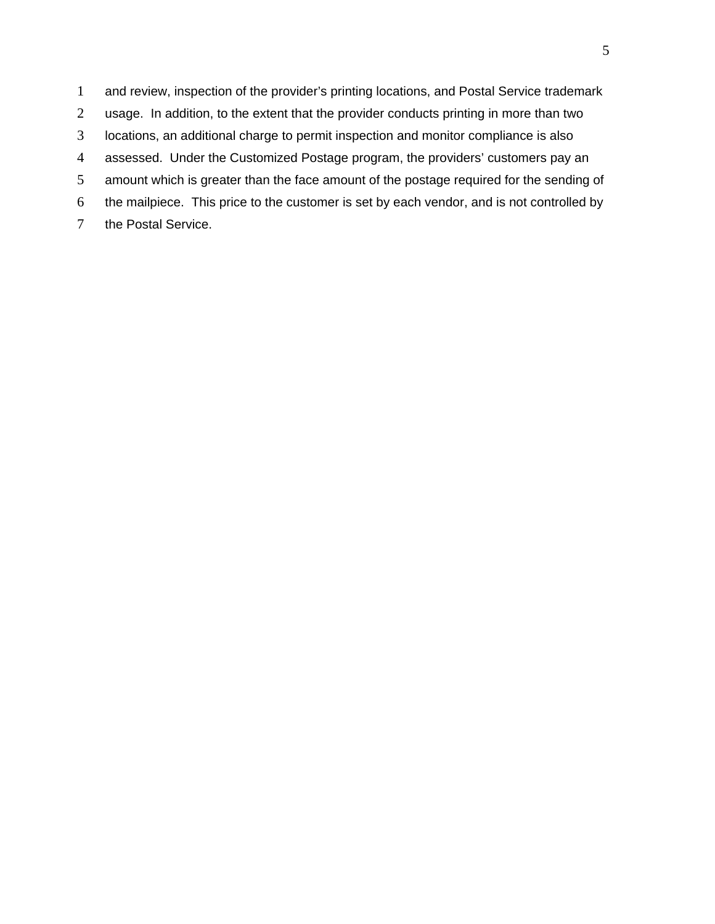and review, inspection of the provider's printing locations, and Postal Service trademark usage. In addition, to the extent that the provider conducts printing in more than two locations, an additional charge to permit inspection and monitor compliance is also assessed. Under the Customized Postage program, the providers' customers pay an amount which is greater than the face amount of the postage required for the sending of the mailpiece. This price to the customer is set by each vendor, and is not controlled by the Postal Service.